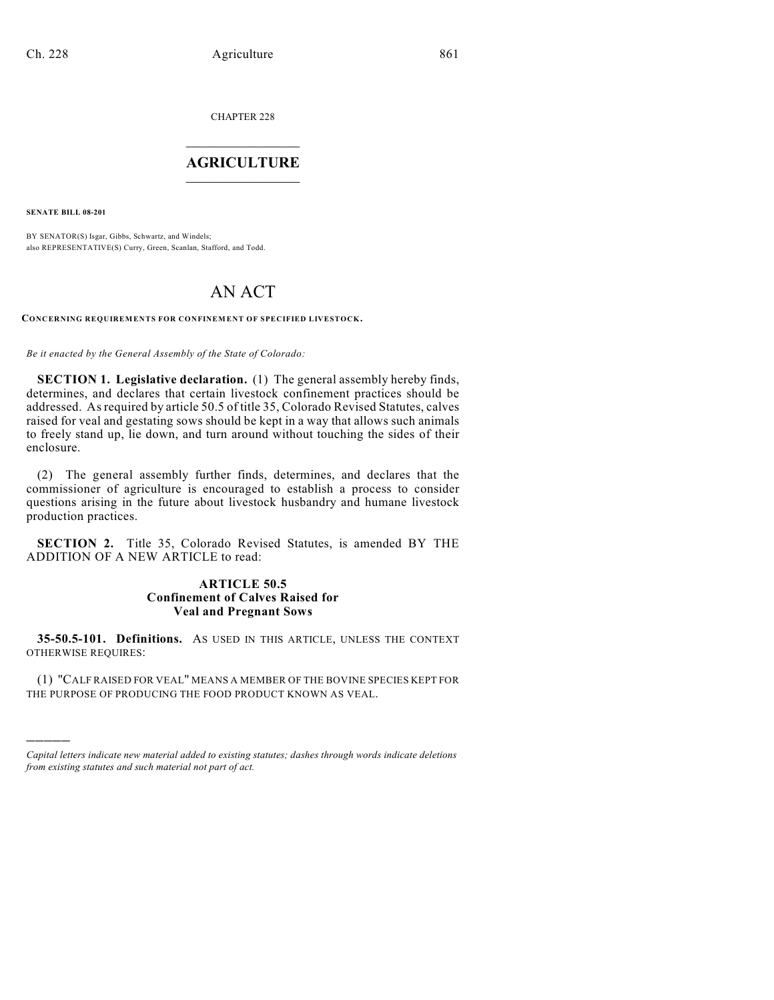CHAPTER 228  $\overline{\phantom{a}}$  . The set of the set of the set of the set of the set of the set of the set of the set of the set of the set of the set of the set of the set of the set of the set of the set of the set of the set of the set o

## **AGRICULTURE**  $\_$   $\_$   $\_$   $\_$   $\_$   $\_$   $\_$   $\_$

**SENATE BILL 08-201**

)))))

BY SENATOR(S) Isgar, Gibbs, Schwartz, and Windels; also REPRESENTATIVE(S) Curry, Green, Scanlan, Stafford, and Todd.

## AN ACT

**CONCERNING REQUIREMENTS FOR CONFINEMENT OF SPECIFIED LIVESTOCK.**

*Be it enacted by the General Assembly of the State of Colorado:*

**SECTION 1. Legislative declaration.** (1) The general assembly hereby finds, determines, and declares that certain livestock confinement practices should be addressed. As required by article 50.5 of title 35, Colorado Revised Statutes, calves raised for veal and gestating sows should be kept in a way that allows such animals to freely stand up, lie down, and turn around without touching the sides of their enclosure.

(2) The general assembly further finds, determines, and declares that the commissioner of agriculture is encouraged to establish a process to consider questions arising in the future about livestock husbandry and humane livestock production practices.

**SECTION 2.** Title 35, Colorado Revised Statutes, is amended BY THE ADDITION OF A NEW ARTICLE to read:

## **ARTICLE 50.5 Confinement of Calves Raised for Veal and Pregnant Sows**

**35-50.5-101. Definitions.** AS USED IN THIS ARTICLE, UNLESS THE CONTEXT OTHERWISE REQUIRES:

(1) "CALF RAISED FOR VEAL" MEANS A MEMBER OF THE BOVINE SPECIES KEPT FOR THE PURPOSE OF PRODUCING THE FOOD PRODUCT KNOWN AS VEAL.

*Capital letters indicate new material added to existing statutes; dashes through words indicate deletions from existing statutes and such material not part of act.*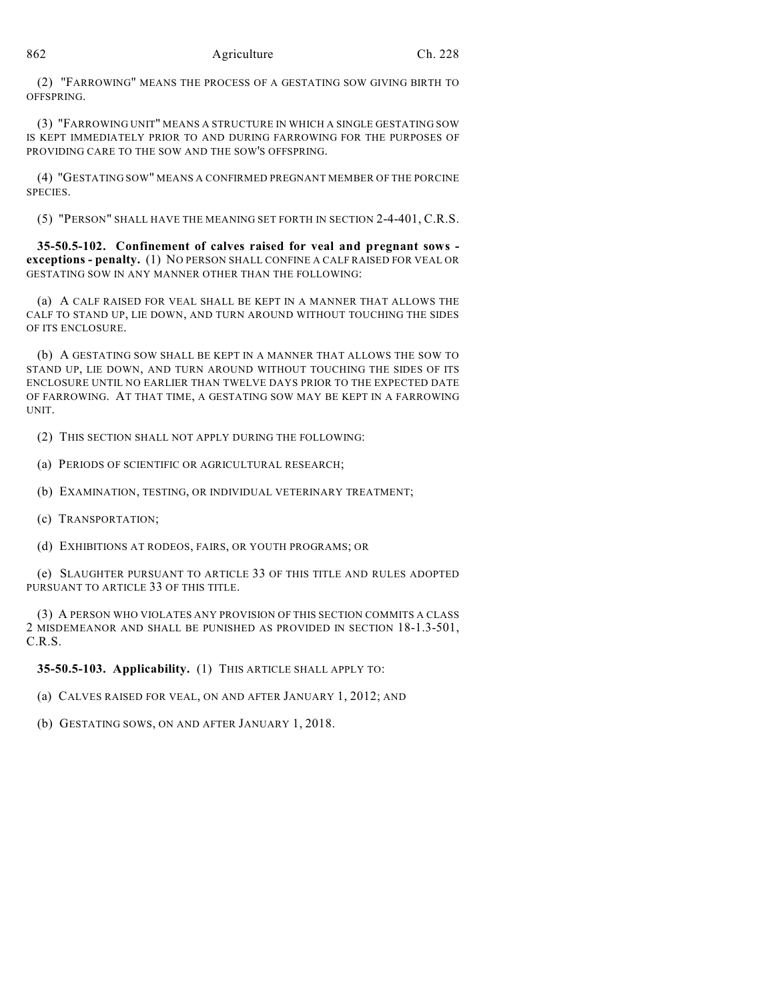(2) "FARROWING" MEANS THE PROCESS OF A GESTATING SOW GIVING BIRTH TO OFFSPRING.

(3) "FARROWING UNIT" MEANS A STRUCTURE IN WHICH A SINGLE GESTATING SOW IS KEPT IMMEDIATELY PRIOR TO AND DURING FARROWING FOR THE PURPOSES OF PROVIDING CARE TO THE SOW AND THE SOW'S OFFSPRING.

(4) "GESTATING SOW" MEANS A CONFIRMED PREGNANT MEMBER OF THE PORCINE SPECIES.

(5) "PERSON" SHALL HAVE THE MEANING SET FORTH IN SECTION 2-4-401, C.R.S.

**35-50.5-102. Confinement of calves raised for veal and pregnant sows exceptions - penalty.** (1) NO PERSON SHALL CONFINE A CALF RAISED FOR VEAL OR GESTATING SOW IN ANY MANNER OTHER THAN THE FOLLOWING:

(a) A CALF RAISED FOR VEAL SHALL BE KEPT IN A MANNER THAT ALLOWS THE CALF TO STAND UP, LIE DOWN, AND TURN AROUND WITHOUT TOUCHING THE SIDES OF ITS ENCLOSURE.

(b) A GESTATING SOW SHALL BE KEPT IN A MANNER THAT ALLOWS THE SOW TO STAND UP, LIE DOWN, AND TURN AROUND WITHOUT TOUCHING THE SIDES OF ITS ENCLOSURE UNTIL NO EARLIER THAN TWELVE DAYS PRIOR TO THE EXPECTED DATE OF FARROWING. AT THAT TIME, A GESTATING SOW MAY BE KEPT IN A FARROWING UNIT.

(2) THIS SECTION SHALL NOT APPLY DURING THE FOLLOWING:

(a) PERIODS OF SCIENTIFIC OR AGRICULTURAL RESEARCH;

(b) EXAMINATION, TESTING, OR INDIVIDUAL VETERINARY TREATMENT;

(c) TRANSPORTATION;

(d) EXHIBITIONS AT RODEOS, FAIRS, OR YOUTH PROGRAMS; OR

(e) SLAUGHTER PURSUANT TO ARTICLE 33 OF THIS TITLE AND RULES ADOPTED PURSUANT TO ARTICLE 33 OF THIS TITLE.

(3) A PERSON WHO VIOLATES ANY PROVISION OF THIS SECTION COMMITS A CLASS 2 MISDEMEANOR AND SHALL BE PUNISHED AS PROVIDED IN SECTION 18-1.3-501, C.R.S.

**35-50.5-103. Applicability.** (1) THIS ARTICLE SHALL APPLY TO:

(a) CALVES RAISED FOR VEAL, ON AND AFTER JANUARY 1, 2012; AND

(b) GESTATING SOWS, ON AND AFTER JANUARY 1, 2018.